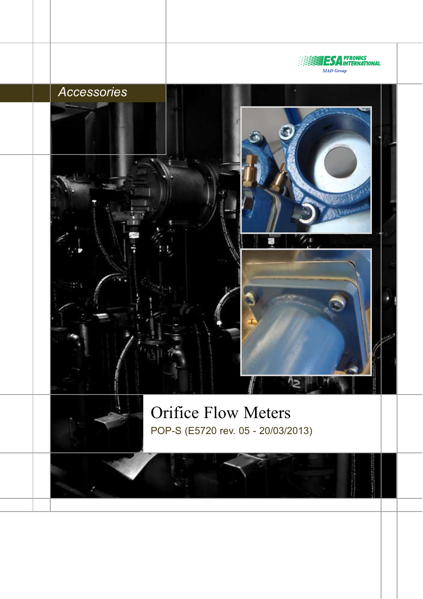

Orifice Flow Meters POP-S (E5720 rev. 05 - 20/03/2013)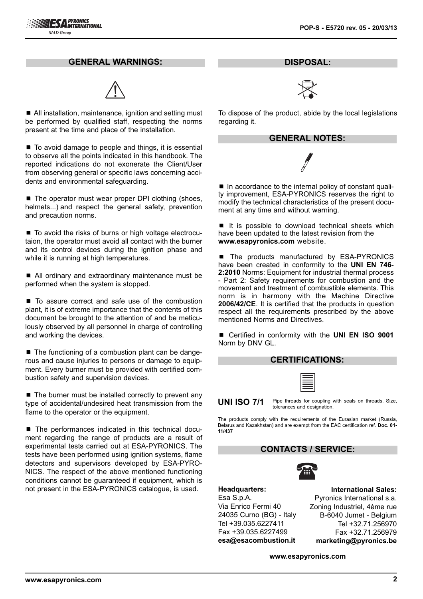#### **GENERAL WARNINGS:**



■ All installation, maintenance, ignition and setting must be performed by qualified staff, respecting the norms present at the time and place of the installation.

■ To avoid damage to people and things, it is essential to observe all the points indicated in this handbook. The reported indications do not exonerate the Client/User from observing general or specific laws concerning accidents and environmental safeguarding.

■ The operator must wear proper DPI clothing (shoes, helmets...) and respect the general safety, prevention and precaution norms.

■ To avoid the risks of burns or high voltage electrocutaion, the operator must avoid all contact with the burner and its control devices during the ignition phase and while it is running at high temperatures.

■ All ordinary and extraordinary maintenance must be performed when the system is stopped.

■ To assure correct and safe use of the combustion plant, it is of extreme importance that the contents of this document be brought to the attention of and be meticulously observed by all personnel in charge of controlling and working the devices.

■ The functioning of a combustion plant can be dangerous and cause injuries to persons or damage to equipment. Every burner must be provided with certified combustion safety and supervision devices.

 $\blacksquare$  The burner must be installed correctly to prevent any type of accidental/undesired heat transmission from the flame to the operator or the equipment.

■ The performances indicated in this technical document regarding the range of products are a result of experimental tests carried out at ESA-PYRONICS. The tests have been performed using ignition systems, flame detectors and supervisors developed by ESA-PYRO-NICS. The respect of the above mentioned functioning conditions cannot be guaranteed if equipment, which is not present in the ESA-PYRONICS catalogue, is used.

**DISPOSAL:**



To dispose of the product, abide by the local legislations regarding it.

#### **GENERAL NOTES:**

■ In accordance to the internal policy of constant quality improvement, ESA-PYRONICS reserves the right to modify the technical characteristics of the present document at any time and without warning.

 $\blacksquare$  It is possible to download technical sheets which have been updated to the latest revision from the **www.esapyronics.com** website.

■ The products manufactured by ESA-PYRONICS have been created in conformity to the **UNI EN 746- 2:2010** Norms: Equipment for industrial thermal process - Part 2: Safety requirements for combustion and the movement and treatment of combustible elements. This norm is in harmony with the Machine Directive **2006/42/CE**. It is certified that the products in question respect all the requirements prescribed by the above mentioned Norms and Directives.

■ Certified in conformity with the **UNI EN ISO 9001** Norm by DNV GL.

#### **CERTIFICATIONS:**

| -                        |
|--------------------------|
|                          |
|                          |
| I                        |
|                          |
|                          |
| $\overline{\phantom{0}}$ |
|                          |

**UNI ISO 7/1** Pipe threads for coupling with seals on threads. Size, tolerances and designation.

The products comply with the requirements of the Eurasian market (Russia, Belarus and Kazakhstan) and are exempt from the EAC certification ref. **Doc. 01- 11/437**

## **CONTACTS / SERVICE:**



**Headquarters:** Esa S.p.A. Via Enrico Fermi 40 24035 Curno (BG) - Italy Tel +39.035.6227411 Fax +39.035.6227499 **esa@esacombustion.it**

**International Sales:** Pyronics International s.a. Zoning Industriel, 4ème rue B-6040 Jumet - Belgium Tel +32.71.256970 Fax +32.71.256979 **marketing@pyronics.be**

**www.esapyronics.com**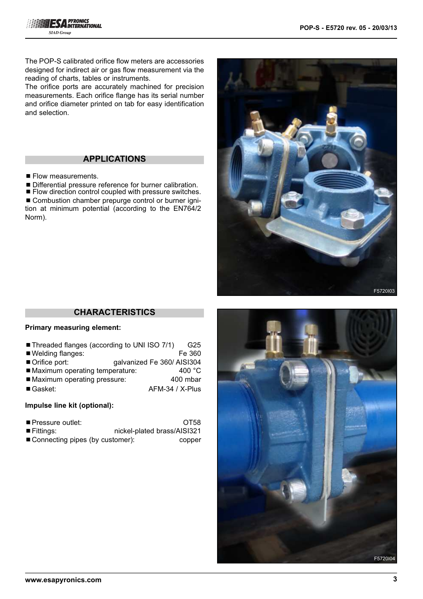The POP-S calibrated orifice flow meters are accessories designed for indirect air or gas flow measurement via the reading of charts, tables or instruments.

The orifice ports are accurately machined for precision measurements. Each orifice flange has its serial number and orifice diameter printed on tab for easy identification and selection.

## **APPLICATIONS**

- $\blacksquare$  Flow measurements.
- Differential pressure reference for burner calibration.

■ Flow direction control coupled with pressure switches. ■ Combustion chamber prepurge control or burner ignition at minimum potential (according to the EN764/2 Norm).



## **CHARACTERISTICS**

#### **Primary measuring element:**

- Threaded flanges (according to UNI ISO 7/1) G25
- Welding flanges: Fe 360
- Orifice port: galvanized Fe 360/ AISI304<br>■ Maximum operating temperature: 400 °C
- Maximum operating temperature:
- Maximum operating pressure: 400 mbar
- Gasket: AFM-34 / X-Plus

### **Impulse line kit (optional):**

- Fittings: nickel-plated brass/AISI321
- Connecting pipes (by customer): copper

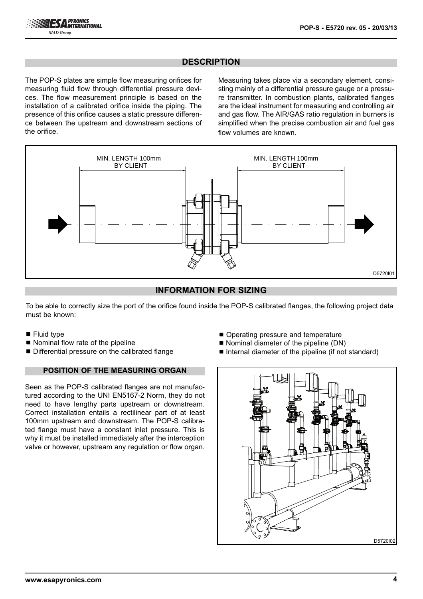## **DESCRIPTION**

The POP-S plates are simple flow measuring orifices for measuring fluid flow through differential pressure devices. The flow measurement principle is based on the installation of a calibrated orifice inside the piping. The presence of this orifice causes a static pressure difference between the upstream and downstream sections of the orifice.

Measuring takes place via a secondary element, consisting mainly of a differential pressure gauge or a pressure transmitter. In combustion plants, calibrated flanges are the ideal instrument for measuring and controlling air and gas flow. The AIR/GAS ratio regulation in burners is simplified when the precise combustion air and fuel gas flow volumes are known.



## **INFORMATION FOR SIZING**

To be able to correctly size the port of the orifice found inside the POP-S calibrated flanges, the following project data must be known:

- $\blacksquare$  Fluid type
- Nominal flow rate of the pipeline
- Differential pressure on the calibrated flange

### **POSITION OF THE MEASURING ORGAN**

Seen as the POP-S calibrated flanges are not manufactured according to the UNI EN5167-2 Norm, they do not need to have lengthy parts upstream or downstream. Correct installation entails a rectilinear part of at least 100mm upstream and downstream. The POP-S calibrated flange must have a constant inlet pressure. This is why it must be installed immediately after the interception valve or however, upstream any regulation or flow organ.

- Operating pressure and temperature
- Nominal diameter of the pipeline (DN)
- Internal diameter of the pipeline (if not standard)

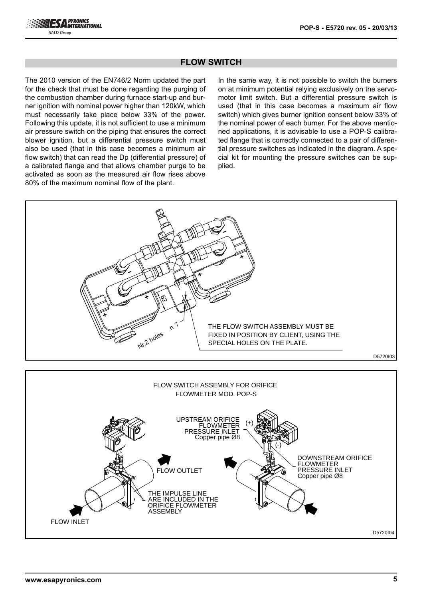

## **FLOW SWITCH**

The 2010 version of the EN746/2 Norm updated the part for the check that must be done regarding the purging of the combustion chamber during furnace start-up and burner ignition with nominal power higher than 120kW, which must necessarily take place below 33% of the power. Following this update, it is not sufficient to use a minimum air pressure switch on the piping that ensures the correct blower ignition, but a differential pressure switch must also be used (that in this case becomes a minimum air flow switch) that can read the Dp (differential pressure) of a calibrated flange and that allows chamber purge to be activated as soon as the measured air flow rises above 80% of the maximum nominal flow of the plant.

In the same way, it is not possible to switch the burners on at minimum potential relying exclusively on the servomotor limit switch. But a differential pressure switch is used (that in this case becomes a maximum air flow switch) which gives burner ignition consent below 33% of the nominal power of each burner. For the above mentioned applications, it is advisable to use a POP-S calibrated flange that is correctly connected to a pair of differential pressure switches as indicated in the diagram. A special kit for mounting the pressure switches can be supplied.

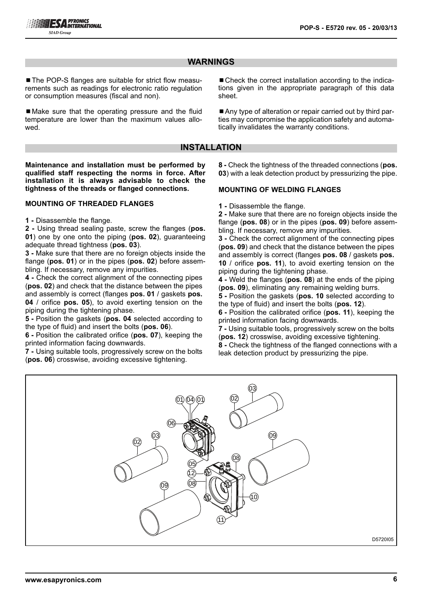## **WARNINGS**

■ The POP-S flanges are suitable for strict flow measurements such as readings for electronic ratio regulation or consumption measures (fiscal and non).

■ Make sure that the operating pressure and the fluid temperature are lower than the maximum values allowed.

■ Check the correct installation according to the indications given in the appropriate paragraph of this data sheet.

■ Any type of alteration or repair carried out by third parties may compromise the application safety and automatically invalidates the warranty conditions.

#### **INSTALLATION**

**Maintenance and installation must be performed by qualified staff respecting the norms in force. After installation it is always advisable to check the tightness of the threads or flanged connections.**

#### **MOUNTING OF THREADED FLANGES**

**1 -** Disassemble the flange.

**2 -** Using thread sealing paste, screw the flanges (**pos. 01**) one by one onto the piping (**pos. 02**), guaranteeing adequate thread tightness (**pos. 03**).

**3 -** Make sure that there are no foreign objects inside the flange (**pos. 01**) or in the pipes (**pos. 02**) before assembling. If necessary, remove any impurities.

**4 -** Check the correct alignment of the connecting pipes (**pos. 02**) and check that the distance between the pipes and assembly is correct (flanges **pos. 01** / gaskets **pos. 04** / orifice **pos. 05**), to avoid exerting tension on the piping during the tightening phase.

**5 -** Position the gaskets (**pos. 04** selected according to the type of fluid) and insert the bolts (**pos. 06**).

**6 -** Position the calibrated orifice (**pos. 07**), keeping the printed information facing downwards.

**7 -** Using suitable tools, progressively screw on the bolts (**pos. 06**) crosswise, avoiding excessive tightening.

**8 -** Check the tightness of the threaded connections (**pos. 03**) with a leak detection product by pressurizing the pipe.

#### **MOUNTING OF WELDING FLANGES**

**1 -** Disassemble the flange.

**2 -** Make sure that there are no foreign objects inside the flange (**pos. 08**) or in the pipes (**pos. 09**) before assembling. If necessary, remove any impurities.

**3 -** Check the correct alignment of the connecting pipes (**pos. 09**) and check that the distance between the pipes and assembly is correct (flanges **pos. 08** / gaskets **pos. 10** / orifice **pos. 11**), to avoid exerting tension on the piping during the tightening phase.

**4 -** Weld the flanges (**pos. 08**) at the ends of the piping (**pos. 09**), eliminating any remaining welding burrs.

**5 -** Position the gaskets (**pos. 10** selected according to the type of fluid) and insert the bolts (**pos. 12**).

**6 -** Position the calibrated orifice (**pos. 11**), keeping the printed information facing downwards.

**7 -** Using suitable tools, progressively screw on the bolts (**pos. 12**) crosswise, avoiding excessive tightening.

**8 -** Check the tightness of the flanged connections with a leak detection product by pressurizing the pipe.

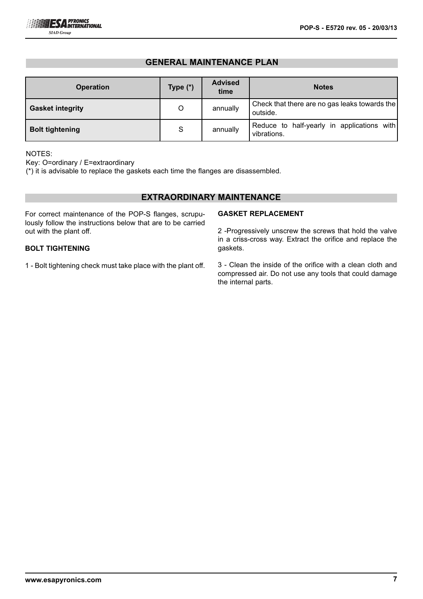## **GENERAL MAINTENANCE PLAN**

| <b>Operation</b>        | Type $(*)$ | <b>Advised</b><br>time | <b>Notes</b>                                              |
|-------------------------|------------|------------------------|-----------------------------------------------------------|
| <b>Gasket integrity</b> | O          | annually               | Check that there are no gas leaks towards the<br>outside. |
| <b>Bolt tightening</b>  | S          | annually               | Reduce to half-yearly in applications with<br>vibrations. |

#### NOTES:

Key: O=ordinary / E=extraordinary

(\*) it is advisable to replace the gaskets each time the flanges are disassembled.

### **EXTRAORDINARY MAINTENANCE**

For correct maintenance of the POP-S flanges, scrupulously follow the instructions below that are to be carried out with the plant off.

### **BOLT TIGHTENING**

1 - Bolt tightening check must take place with the plant off.

#### **GASKET REPLACEMENT**

2 -Progressively unscrew the screws that hold the valve in a criss-cross way. Extract the orifice and replace the gaskets.

3 - Clean the inside of the orifice with a clean cloth and compressed air. Do not use any tools that could damage the internal parts.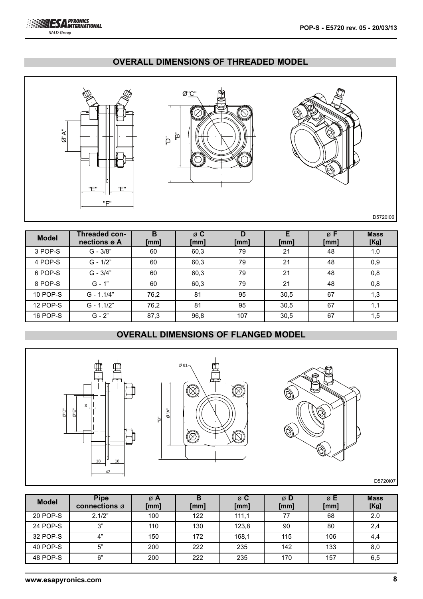

## **OVERALL DIMENSIONS OF THREADED MODEL**



| <b>Model</b> | Threaded con-<br>nections ø A | в<br>[mm] | ø C<br>[mm] | [mm] | [mm] | ø F<br>[mm] | <b>Mass</b><br>[Kg] |
|--------------|-------------------------------|-----------|-------------|------|------|-------------|---------------------|
| 3 POP-S      | $G - 3/8"$                    | 60        | 60,3        | 79   | 21   | 48          | 1.0                 |
| 4 POP-S      | $G - 1/2"$                    | 60        | 60,3        | 79   | 21   | 48          | 0,9                 |
| 6 POP-S      | $G - 3/4"$                    | 60        | 60,3        | 79   | 21   | 48          | 0,8                 |
| 8 POP-S      | $G - 1"$                      | 60        | 60,3        | 79   | 21   | 48          | 0,8                 |
| 10 POP-S     | $G - 1.1/4"$                  | 76,2      | 81          | 95   | 30,5 | 67          | 1,3                 |
| 12 POP-S     | $G - 1.1/2"$                  | 76,2      | 81          | 95   | 30,5 | 67          | 1,1                 |
| 16 POP-S     | $G - 2"$                      | 87,3      | 96,8        | 107  | 30,5 | 67          | 1,5                 |

## **OVERALL DIMENSIONS OF FLANGED MODEL**



| <b>Model</b> | <b>Pipe</b><br>connections ø | øΑ<br>[mm] | [mm] | ø C<br>[mm] | ø D<br>[mm] | øΕ<br>[mm] | <b>Mass</b><br>[Kg] |
|--------------|------------------------------|------------|------|-------------|-------------|------------|---------------------|
| 20 POP-S     | 2.1/2"                       | 100        | 122  | 111,1       | 77          | 68         | 2.0                 |
| 24 POP-S     | 3"                           | 110        | 130  | 123,8       | 90          | 80         | 2,4                 |
| 32 POP-S     | 4"                           | 150        | 172  | 168,1       | 115         | 106        | 4,4                 |
| 40 POP-S     | 5"                           | 200        | 222  | 235         | 142         | 133        | 8,0                 |
| 48 POP-S     | 6"                           | 200        | 222  | 235         | 170         | 157        | 6,5                 |